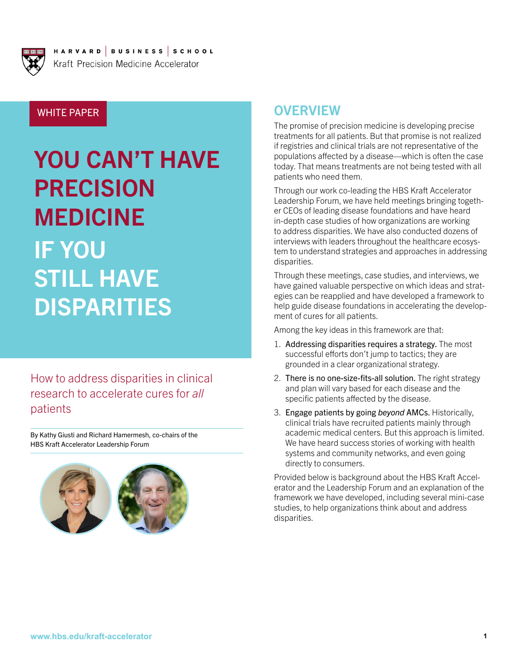

HARVARD BUSINESS SCHOOL Kraft Precision Medicine Accelerator

WHITE PAPER

# YOU CAN'T HAVE PRECISION MEDICINE IF YOU STILL HAVE DISPARITIES

How to address disparities in clinical research to accelerate cures for *all* patients

By Kathy Giusti and Richard Hamermesh, co-chairs of the HBS Kraft Accelerator Leadership Forum



## **OVERVIEW**

The promise of precision medicine is developing precise treatments for all patients. But that promise is not realized if registries and clinical trials are not representative of the populations affected by a disease—which is often the case today. That means treatments are not being tested with all patients who need them.

Through our work co-leading the HBS Kraft Accelerator Leadership Forum, we have held meetings bringing together CEOs of leading disease foundations and have heard in-depth case studies of how organizations are working to address disparities. We have also conducted dozens of interviews with leaders throughout the healthcare ecosystem to understand strategies and approaches in addressing disparities.

Through these meetings, case studies, and interviews, we have gained valuable perspective on which ideas and strategies can be reapplied and have developed a framework to help guide disease foundations in accelerating the development of cures for all patients.

Among the key ideas in this framework are that:

- 1. Addressing disparities requires a strategy. The most successful efforts don't jump to tactics; they are grounded in a clear organizational strategy.
- 2. There is no one-size-fits-all solution. The right strategy and plan will vary based for each disease and the specific patients affected by the disease.
- 3. Engage patients by going *beyond* AMCs. Historically, clinical trials have recruited patients mainly through academic medical centers. But this approach is limited. We have heard success stories of working with health systems and community networks, and even going directly to consumers.

Provided below is background about the HBS Kraft Accelerator and the Leadership Forum and an explanation of the framework we have developed, including several mini-case studies, to help organizations think about and address disparities.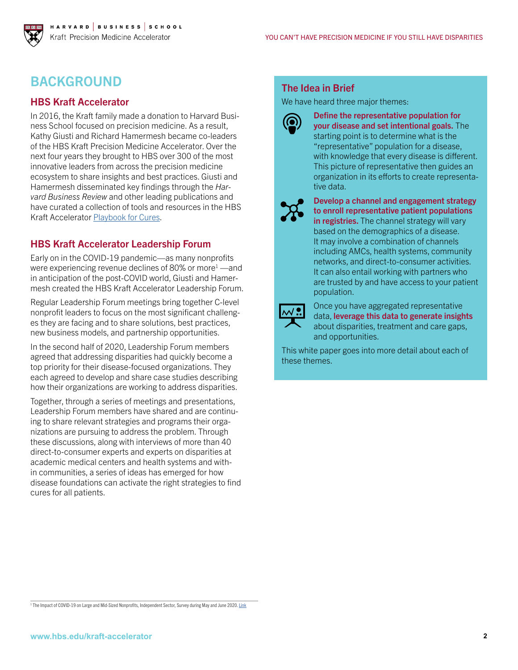# BACKGROUND

## HBS Kraft Accelerator

In 2016, the Kraft family made a donation to Harvard Business School focused on precision medicine. As a result, Kathy Giusti and Richard Hamermesh became co-leaders of the HBS Kraft Precision Medicine Accelerator. Over the next four years they brought to HBS over 300 of the most innovative leaders from across the precision medicine ecosystem to share insights and best practices. Giusti and Hamermesh disseminated key findings through the *Harvard Business Review* and other leading publications and have curated a collection of tools and resources in the HBS Kraft Accelerator [Playbook for Cures.](https://www.hbs.edu/kraft-accelerator/)

## HBS Kraft Accelerator Leadership Forum

Early on in the COVID-19 pandemic—as many nonprofits were experiencing revenue declines of 80% or more<sup>1</sup> —and in anticipation of the post-COVID world, Giusti and Hamermesh created the HBS Kraft Accelerator Leadership Forum.

Regular Leadership Forum meetings bring together C-level nonprofit leaders to focus on the most significant challenges they are facing and to share solutions, best practices, new business models, and partnership opportunities.

In the second half of 2020, Leadership Forum members agreed that addressing disparities had quickly become a top priority for their disease-focused organizations. They each agreed to develop and share case studies describing how their organizations are working to address disparities.

Together, through a series of meetings and presentations, Leadership Forum members have shared and are continuing to share relevant strategies and programs their organizations are pursuing to address the problem. Through these discussions, along with interviews of more than 40 direct-to-consumer experts and experts on disparities at academic medical centers and health systems and within communities, a series of ideas has emerged for how disease foundations can activate the right strategies to find cures for all patients.

## The Idea in Brief

We have heard three major themes:



Define the representative population for your disease and set intentional goals. The starting point is to determine what is the "representative" population for a disease, with knowledge that every disease is different. This picture of representative then guides an organization in its efforts to create representative data.



Develop a channel and engagement strategy to enroll representative patient populations in registries. The channel strategy will vary based on the demographics of a disease. It may involve a combination of channels including AMCs, health systems, community networks, and direct-to-consumer activities. It can also entail working with partners who are trusted by and have access to your patient population.



Once you have aggregated representative data, leverage this data to generate insights about disparities, treatment and care gaps, and opportunities.

This white paper goes into more detail about each of these themes.

<sup>1</sup> The Impact of COVID-19 on Large and Mid-Sized Nonprofits, Independent Sector, Survey during May and June 2020. [Link](https://independentsector.org/wp-content/uploads/2020/06/is-midsize-survey-0710update.jpg)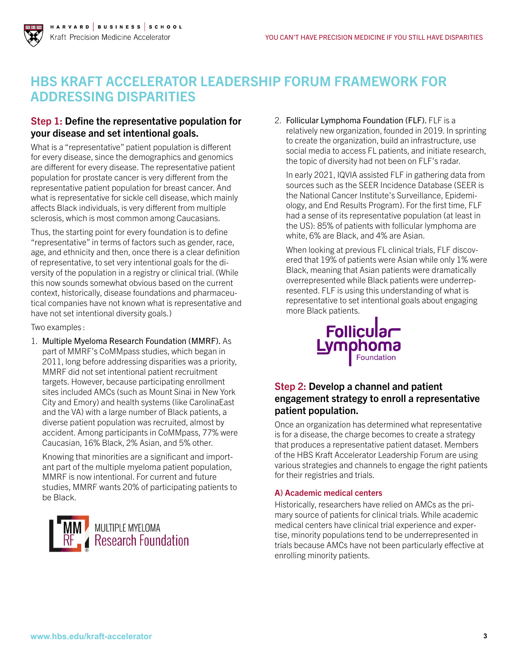#### H A R V A R D | B U S I N E S S | S C H O O L Kraft Precision Medicine Accelerator

# HBS KRAFT ACCELERATOR LEADERSHIP FORUM FRAMEWORK FOR ADDRESSING DISPARITIES

#### Step 1: Define the representative population for your disease and set intentional goals.

What is a "representative" patient population is different for every disease, since the demographics and genomics are different for every disease. The representative patient population for prostate cancer is very different from the representative patient population for breast cancer. And what is representative for sickle cell disease, which mainly affects Black individuals, is very different from multiple sclerosis, which is most common among Caucasians.

Thus, the starting point for every foundation is to define "representative" in terms of factors such as gender, race, age, and ethnicity and then, once there is a clear definition of representative, to set very intentional goals for the diversity of the population in a registry or clinical trial. (While this now sounds somewhat obvious based on the current context, historically, disease foundations and pharmaceutical companies have not known what is representative and have not set intentional diversity goals.)

Two examples :

1. Multiple Myeloma Research Foundation (MMRF). As part of MMRF's CoMMpass studies, which began in 2011, long before addressing disparities was a priority, MMRF did not set intentional patient recruitment targets. However, because participating enrollment sites included AMCs (such as Mount Sinai in New York City and Emory) and health systems (like CarolinaEast and the VA) with a large number of Black patients, a diverse patient population was recruited, almost by accident. Among participants in CoMMpass, 77% were Caucasian, 16% Black, 2% Asian, and 5% other.

Knowing that minorities are a significant and important part of the multiple myeloma patient population, MMRF is now intentional. For current and future studies, MMRF wants 20% of participating patients to be Black.



2. Follicular Lymphoma Foundation (FLF). FLF is a relatively new organization, founded in 2019. In sprinting to create the organization, build an infrastructure, use social media to access FL patients, and initiate research, the topic of diversity had not been on FLF's radar.

In early 2021, IQVIA assisted FLF in gathering data from sources such as the SEER Incidence Database (SEER is the National Cancer Institute's Surveillance, Epidemiology, and End Results Program). For the first time, FLF had a sense of its representative population (at least in the US): 85% of patients with follicular lymphoma are white, 6% are Black, and 4% are Asian.

When looking at previous FL clinical trials, FLF discovered that 19% of patients were Asian while only 1% were Black, meaning that Asian patients were dramatically overrepresented while Black patients were underrepresented. FLF is using this understanding of what is representative to set intentional goals about engaging more Black patients.



## Step 2: Develop a channel and patient engagement strategy to enroll a representative patient population.

Once an organization has determined what representative is for a disease, the charge becomes to create a strategy that produces a representative patient dataset. Members of the HBS Kraft Accelerator Leadership Forum are using various strategies and channels to engage the right patients for their registries and trials.

#### A) Academic medical centers

Historically, researchers have relied on AMCs as the primary source of patients for clinical trials. While academic medical centers have clinical trial experience and expertise, minority populations tend to be underrepresented in trials because AMCs have not been particularly effective at enrolling minority patients.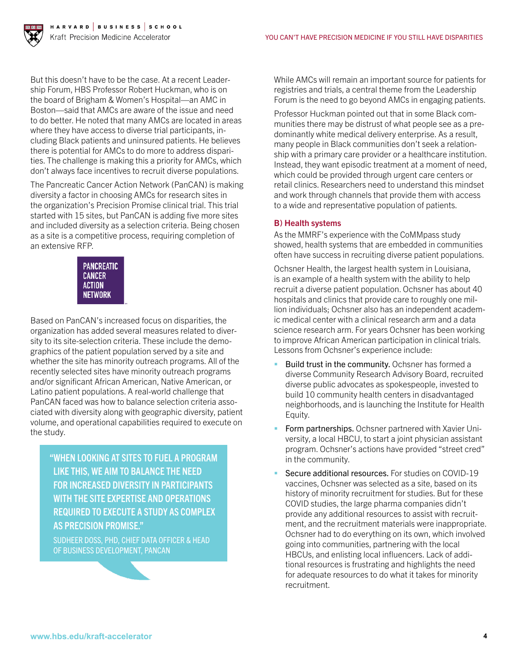

But this doesn't have to be the case. At a recent Leadership Forum, HBS Professor Robert Huckman, who is on the board of Brigham & Women's Hospital—an AMC in Boston—said that AMCs are aware of the issue and need to do better. He noted that many AMCs are located in areas where they have access to diverse trial participants, including Black patients and uninsured patients. He believes there is potential for AMCs to do more to address disparities. The challenge is making this a priority for AMCs, which don't always face incentives to recruit diverse populations.

The Pancreatic Cancer Action Network (PanCAN) is making diversity a factor in choosing AMCs for research sites in the organization's Precision Promise clinical trial. This trial started with 15 sites, but PanCAN is adding five more sites and included diversity as a selection criteria. Being chosen as a site is a competitive process, requiring completion of an extensive RFP.

| PANCREATIC     |
|----------------|
| CANCER         |
| ACTION         |
| <b>NETWORK</b> |

Based on PanCAN's increased focus on disparities, the organization has added several measures related to diversity to its site-selection criteria. These include the demographics of the patient population served by a site and whether the site has minority outreach programs. All of the recently selected sites have minority outreach programs and/or significant African American, Native American, or Latino patient populations. A real-world challenge that PanCAN faced was how to balance selection criteria associated with diversity along with geographic diversity, patient volume, and operational capabilities required to execute on the study.

"WHEN LOOKING AT SITES TO FUEL A PROGRAM LIKE THIS, WE AIM TO BALANCE THE NEED FOR INCREASED DIVERSITY IN PARTICIPANTS WITH THE SITE EXPERTISE AND OPERATIONS REQUIRED TO EXECUTE A STUDY AS COMPLEX AS PRECISION PROMISE."

SUDHEER DOSS, PHD, CHIEF DATA OFFICER & HEAD OF BUSINESS DEVELOPMENT, PANCAN

While AMCs will remain an important source for patients for registries and trials, a central theme from the Leadership Forum is the need to go beyond AMCs in engaging patients.

Professor Huckman pointed out that in some Black communities there may be distrust of what people see as a predominantly white medical delivery enterprise. As a result, many people in Black communities don't seek a relationship with a primary care provider or a healthcare institution. Instead, they want episodic treatment at a moment of need, which could be provided through urgent care centers or retail clinics. Researchers need to understand this mindset and work through channels that provide them with access to a wide and representative population of patients.

#### B) Health systems

As the MMRF's experience with the CoMMpass study showed, health systems that are embedded in communities often have success in recruiting diverse patient populations.

Ochsner Health, the largest health system in Louisiana, is an example of a health system with the ability to help recruit a diverse patient population. Ochsner has about 40 hospitals and clinics that provide care to roughly one million individuals; Ochsner also has an independent academic medical center with a clinical research arm and a data science research arm. For years Ochsner has been working to improve African American participation in clinical trials. Lessons from Ochsner's experience include:

- Build trust in the community. Ochsner has formed a diverse Community Research Advisory Board, recruited diverse public advocates as spokespeople, invested to build 10 community health centers in disadvantaged neighborhoods, and is launching the Institute for Health Equity.
- Form partnerships. Ochsner partnered with Xavier University, a local HBCU, to start a joint physician assistant program. Ochsner's actions have provided "street cred" in the community.
- Secure additional resources. For studies on COVID-19 vaccines, Ochsner was selected as a site, based on its history of minority recruitment for studies. But for these COVID studies, the large pharma companies didn't provide any additional resources to assist with recruitment, and the recruitment materials were inappropriate. Ochsner had to do everything on its own, which involved going into communities, partnering with the local HBCUs, and enlisting local influencers. Lack of additional resources is frustrating and highlights the need for adequate resources to do what it takes for minority recruitment.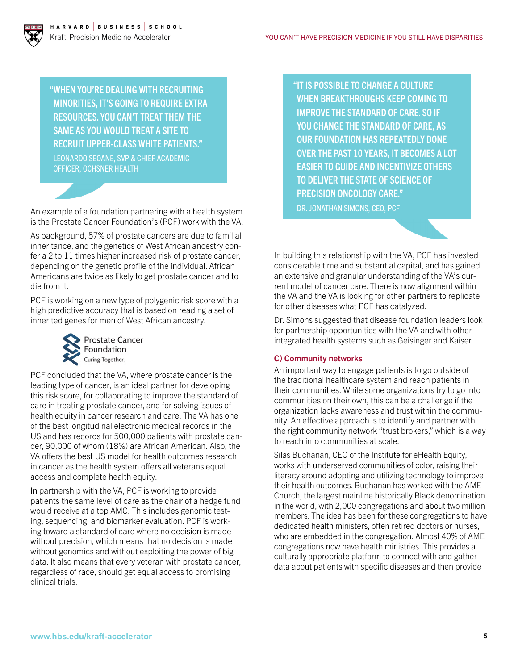"WHEN YOU'RE DEALING WITH RECRUITING MINORITIES, IT'S GOING TO REQUIRE EXTRA RESOURCES. YOU CAN'T TREAT THEM THE SAME AS YOU WOULD TREAT A SITE TO RECRUIT UPPER-CLASS WHITE PATIENTS." LEONARDO SEOANE, SVP & CHIEF ACADEMIC

OFFICER, OCHSNER HEALTH

An example of a foundation partnering with a health system is the Prostate Cancer Foundation's (PCF) work with the VA.

As background, 57% of prostate cancers are due to familial inheritance, and the genetics of West African ancestry confer a 2 to 11 times higher increased risk of prostate cancer, depending on the genetic profile of the individual. African Americans are twice as likely to get prostate cancer and to die from it.

PCF is working on a new type of polygenic risk score with a high predictive accuracy that is based on reading a set of inherited genes for men of West African ancestry.



PCF concluded that the VA, where prostate cancer is the leading type of cancer, is an ideal partner for developing this risk score, for collaborating to improve the standard of care in treating prostate cancer, and for solving issues of health equity in cancer research and care. The VA has one of the best longitudinal electronic medical records in the US and has records for 500,000 patients with prostate cancer, 90,000 of whom (18%) are African American. Also, the VA offers the best US model for health outcomes research in cancer as the health system offers all veterans equal access and complete health equity.

In partnership with the VA, PCF is working to provide patients the same level of care as the chair of a hedge fund would receive at a top AMC. This includes genomic testing, sequencing, and biomarker evaluation. PCF is working toward a standard of care where no decision is made without precision, which means that no decision is made without genomics and without exploiting the power of big data. It also means that every veteran with prostate cancer, regardless of race, should get equal access to promising clinical trials.

"IT IS POSSIBLE TO CHANGE A CULTURE WHEN BREAKTHROUGHS KEEP COMING TO IMPROVE THE STANDARD OF CARE. SO IF YOU CHANGE THE STANDARD OF CARE, AS OUR FOUNDATION HAS REPEATEDLY DONE OVER THE PAST 10 YEARS, IT BECOMES A LOT EASIER TO GUIDE AND INCENTIVIZE OTHERS TO DELIVER THE STATE OF SCIENCE OF PRECISION ONCOLOGY CARE." DR. JONATHAN SIMONS, CEO, PCF

In building this relationship with the VA, PCF has invested considerable time and substantial capital, and has gained an extensive and granular understanding of the VA's current model of cancer care. There is now alignment within the VA and the VA is looking for other partners to replicate for other diseases what PCF has catalyzed.

Dr. Simons suggested that disease foundation leaders look for partnership opportunities with the VA and with other integrated health systems such as Geisinger and Kaiser.

#### C) Community networks

An important way to engage patients is to go outside of the traditional healthcare system and reach patients in their communities. While some organizations try to go into communities on their own, this can be a challenge if the organization lacks awareness and trust within the community. An effective approach is to identify and partner with the right community network "trust brokers," which is a way to reach into communities at scale.

Silas Buchanan, CEO of the Institute for eHealth Equity, works with underserved communities of color, raising their literacy around adopting and utilizing technology to improve their health outcomes. Buchanan has worked with the AME Church, the largest mainline historically Black denomination in the world, with 2,000 congregations and about two million members. The idea has been for these congregations to have dedicated health ministers, often retired doctors or nurses, who are embedded in the congregation. Almost 40% of AME congregations now have health ministries. This provides a culturally appropriate platform to connect with and gather data about patients with specific diseases and then provide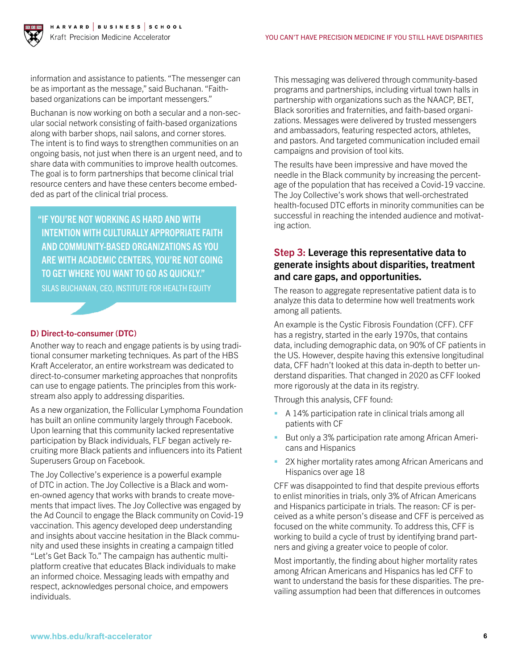

information and assistance to patients. "The messenger can be as important as the message," said Buchanan. "Faithbased organizations can be important messengers."

Buchanan is now working on both a secular and a non-secular social network consisting of faith-based organizations along with barber shops, nail salons, and corner stores. The intent is to find ways to strengthen communities on an ongoing basis, not just when there is an urgent need, and to share data with communities to improve health outcomes. The goal is to form partnerships that become clinical trial resource centers and have these centers become embedded as part of the clinical trial process.

"IF YOU'RE NOT WORKING AS HARD AND WITH INTENTION WITH CULTURALLY APPROPRIATE FAITH AND COMMUNITY-BASED ORGANIZATIONS AS YOU ARE WITH ACADEMIC CENTERS, YOU'RE NOT GOING TO GET WHERE YOU WANT TO GO AS QUICKLY." SILAS BUCHANAN, CEO, INSTITUTE FOR HEALTH EQUITY

#### D) Direct-to-consumer (DTC)

Another way to reach and engage patients is by using traditional consumer marketing techniques. As part of the HBS Kraft Accelerator, an entire workstream was dedicated to direct-to-consumer marketing approaches that nonprofits can use to engage patients. The principles from this workstream also apply to addressing disparities.

As a new organization, the Follicular Lymphoma Foundation has built an online community largely through Facebook. Upon learning that this community lacked representative participation by Black individuals, FLF began actively recruiting more Black patients and influencers into its Patient Superusers Group on Facebook.

The Joy Collective's experience is a powerful example of DTC in action. The Joy Collective is a Black and women-owned agency that works with brands to create movements that impact lives. The Joy Collective was engaged by the Ad Council to engage the Black community on Covid-19 vaccination. This agency developed deep understanding and insights about vaccine hesitation in the Black community and used these insights in creating a campaign titled "Let's Get Back To." The campaign has authentic multiplatform creative that educates Black individuals to make an informed choice. Messaging leads with empathy and respect, acknowledges personal choice, and empowers individuals.

This messaging was delivered through community-based programs and partnerships, including virtual town halls in partnership with organizations such as the NAACP, BET, Black sororities and fraternities, and faith-based organizations. Messages were delivered by trusted messengers and ambassadors, featuring respected actors, athletes, and pastors. And targeted communication included email campaigns and provision of tool kits.

The results have been impressive and have moved the needle in the Black community by increasing the percentage of the population that has received a Covid-19 vaccine. The Joy Collective's work shows that well-orchestrated health-focused DTC efforts in minority communities can be successful in reaching the intended audience and motivating action.

#### Step 3: Leverage this representative data to generate insights about disparities, treatment and care gaps, and opportunities.

The reason to aggregate representative patient data is to analyze this data to determine how well treatments work among all patients.

An example is the Cystic Fibrosis Foundation (CFF). CFF has a registry, started in the early 1970s, that contains data, including demographic data, on 90% of CF patients in the US. However, despite having this extensive longitudinal data, CFF hadn't looked at this data in-depth to better understand disparities. That changed in 2020 as CFF looked more rigorously at the data in its registry.

Through this analysis, CFF found:

- A 14% participation rate in clinical trials among all patients with CF
- But only a 3% participation rate among African Americans and Hispanics
- 2X higher mortality rates among African Americans and Hispanics over age 18

CFF was disappointed to find that despite previous efforts to enlist minorities in trials, only 3% of African Americans and Hispanics participate in trials. The reason: CF is perceived as a white person's disease and CFF is perceived as focused on the white community. To address this, CFF is working to build a cycle of trust by identifying brand partners and giving a greater voice to people of color.

Most importantly, the finding about higher mortality rates among African Americans and Hispanics has led CFF to want to understand the basis for these disparities. The prevailing assumption had been that differences in outcomes